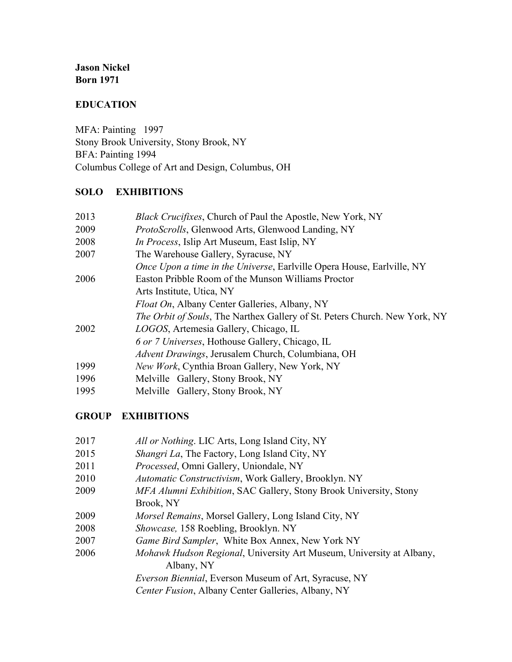**Jason Nickel Born 1971**

## **EDUCATION**

MFA: Painting 1997 Stony Brook University, Stony Brook, NY BFA: Painting 1994 Columbus College of Art and Design, Columbus, OH

### **SOLO EXHIBITIONS**

| 2013 | <i>Black Crucifixes</i> , Church of Paul the Apostle, New York, NY             |
|------|--------------------------------------------------------------------------------|
| 2009 | ProtoScrolls, Glenwood Arts, Glenwood Landing, NY                              |
| 2008 | <i>In Process</i> , Islip Art Museum, East Islip, NY                           |
| 2007 | The Warehouse Gallery, Syracuse, NY                                            |
|      | <i>Once Upon a time in the Universe</i> , Earlyille Opera House, Earlyille, NY |
| 2006 | Easton Pribble Room of the Munson Williams Proctor                             |
|      | Arts Institute, Utica, NY                                                      |
|      | <i>Float On</i> , Albany Center Galleries, Albany, NY                          |
|      | The Orbit of Souls, The Narthex Gallery of St. Peters Church. New York, NY     |
| 2002 | LOGOS, Artemesia Gallery, Chicago, IL                                          |
|      | 6 or 7 Universes, Hothouse Gallery, Chicago, IL                                |
|      | Advent Drawings, Jerusalem Church, Columbiana, OH                              |
| 1999 | <i>New Work</i> , Cynthia Broan Gallery, New York, NY                          |
| 1996 | Melville Gallery, Stony Brook, NY                                              |
| 1995 | Melville Gallery, Stony Brook, NY                                              |

#### **GROUP EXHIBITIONS**

- 2017 *All or Nothing*. LIC Arts, Long Island City, NY
- 2015 *Shangri La*, The Factory, Long Island City, NY
- 2011 *Processed*, Omni Gallery, Uniondale, NY
- 2010 *Automatic Constructivism*, Work Gallery, Brooklyn. NY
- 2009 *MFA Alumni Exhibition*, SAC Gallery, Stony Brook University, Stony
	- Brook, NY
- 2009 *Morsel Remains*, Morsel Gallery, Long Island City, NY
- 2008 *Showcase,* 158 Roebling, Brooklyn. NY
- 2007 *Game Bird Sampler*, White Box Annex, New York NY
- 2006 *Mohawk Hudson Regional*, University Art Museum, University at Albany, Albany, NY

*Everson Biennial*, Everson Museum of Art, Syracuse, NY

*Center Fusion*, Albany Center Galleries, Albany, NY